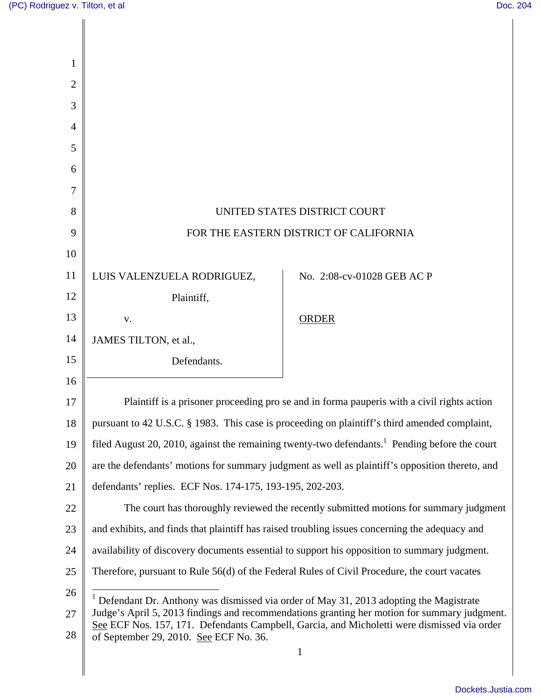| 1  |                                                                                                                                                                                             |                            |  |
|----|---------------------------------------------------------------------------------------------------------------------------------------------------------------------------------------------|----------------------------|--|
| 2  |                                                                                                                                                                                             |                            |  |
| 3  |                                                                                                                                                                                             |                            |  |
| 4  |                                                                                                                                                                                             |                            |  |
| 5  |                                                                                                                                                                                             |                            |  |
| 6  |                                                                                                                                                                                             |                            |  |
| 7  |                                                                                                                                                                                             |                            |  |
| 8  | UNITED STATES DISTRICT COURT                                                                                                                                                                |                            |  |
| 9  | FOR THE EASTERN DISTRICT OF CALIFORNIA                                                                                                                                                      |                            |  |
| 10 |                                                                                                                                                                                             |                            |  |
| 11 | LUIS VALENZUELA RODRIGUEZ,                                                                                                                                                                  | No. 2:08-cv-01028 GEB AC P |  |
| 12 | Plaintiff,                                                                                                                                                                                  |                            |  |
| 13 | V.                                                                                                                                                                                          | <b>ORDER</b>               |  |
| 14 | JAMES TILTON, et al.,                                                                                                                                                                       |                            |  |
| 15 | Defendants.                                                                                                                                                                                 |                            |  |
| 16 |                                                                                                                                                                                             |                            |  |
| 17 | Plaintiff is a prisoner proceeding pro se and in forma pauperis with a civil rights action                                                                                                  |                            |  |
| 18 | pursuant to 42 U.S.C. § 1983. This case is proceeding on plaintiff's third amended complaint,                                                                                               |                            |  |
| 19 | filed August 20, 2010, against the remaining twenty-two defendants. <sup>1</sup> Pending before the court                                                                                   |                            |  |
| 20 | are the defendants' motions for summary judgment as well as plaintiff's opposition thereto, and                                                                                             |                            |  |
| 21 | defendants' replies. ECF Nos. 174-175, 193-195, 202-203.                                                                                                                                    |                            |  |
| 22 | The court has thoroughly reviewed the recently submitted motions for summary judgment                                                                                                       |                            |  |
| 23 | and exhibits, and finds that plaintiff has raised troubling issues concerning the adequacy and                                                                                              |                            |  |
| 24 | availability of discovery documents essential to support his opposition to summary judgment.                                                                                                |                            |  |
| 25 | Therefore, pursuant to Rule 56(d) of the Federal Rules of Civil Procedure, the court vacates                                                                                                |                            |  |
| 26 | $1$ Defendant Dr. Anthony was dismissed via order of May 31, 2013 adopting the Magistrate                                                                                                   |                            |  |
| 27 | Judge's April 5, 2013 findings and recommendations granting her motion for summary judgment.<br>See ECF Nos. 157, 171. Defendants Campbell, Garcia, and Micholetti were dismissed via order |                            |  |
| 28 | of September 29, 2010. See ECF No. 36.                                                                                                                                                      |                            |  |
|    |                                                                                                                                                                                             | $\mathbf{1}$               |  |